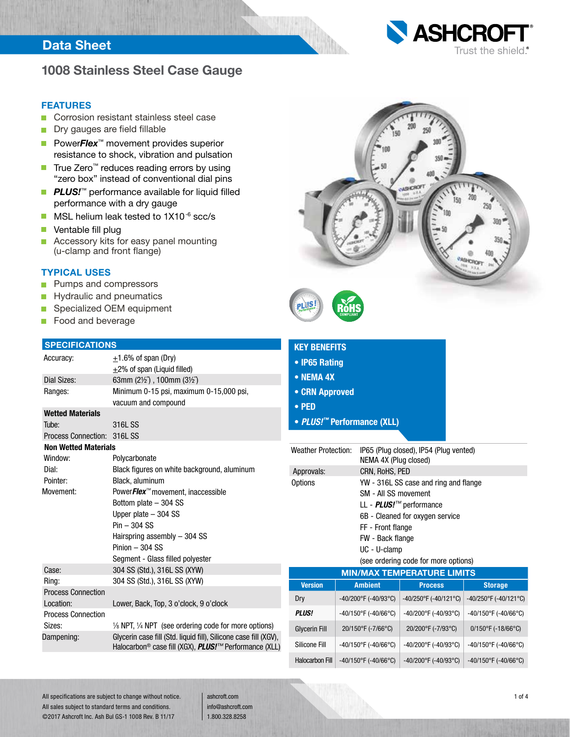## Data Sheet



## **1008 Stainless Steel Case Gauge**

#### **FEATURES**

- Corrosion resistant stainless steel case n.
- Dry gauges are field fillable  $\Box$
- Power*Flex*<sup>™</sup> movement provides superior resistance to shock, vibration and pulsation
- True Zero<sup>™</sup> reduces reading errors by using "zero box" instead of conventional dial pins
- **PLUS!**™ performance available for liquid filled performance with a dry gauge
- MSL helium leak tested to 1X10<sup>-6</sup> scc/s  $\blacksquare$
- $\blacksquare$ Ventable fill plug
- **Accessory kits for easy panel mounting** (u-clamp and front flange)

### **TYPICAL USES**

- Pumps and compressors П
- Hydraulic and pneumatics  $\overline{\phantom{a}}$
- Specialized OEM equipment П
- Food and beverage  $\blacksquare$

### **SI**

| <b>SPECIFICATIONS</b>       |                                                                                                                                  |  |  |  |
|-----------------------------|----------------------------------------------------------------------------------------------------------------------------------|--|--|--|
| Accuracy:                   | $\pm$ 1.6% of span (Dry)                                                                                                         |  |  |  |
|                             | +2% of span (Liquid filled)                                                                                                      |  |  |  |
| Dial Sizes:                 | 63mm $(2\frac{1}{2})$ , 100mm $(3\frac{1}{2})$                                                                                   |  |  |  |
| Ranges:                     | Minimum 0-15 psi, maximum 0-15,000 psi,                                                                                          |  |  |  |
|                             | vacuum and compound                                                                                                              |  |  |  |
| <b>Wetted Materials</b>     |                                                                                                                                  |  |  |  |
| Tube:                       | 316L SS                                                                                                                          |  |  |  |
| <b>Process Connection:</b>  | 316L SS                                                                                                                          |  |  |  |
| <b>Non Wetted Materials</b> |                                                                                                                                  |  |  |  |
| Window:                     | Polycarbonate                                                                                                                    |  |  |  |
| Dial:                       | Black figures on white background, aluminum                                                                                      |  |  |  |
| Pointer:                    | Black, aluminum                                                                                                                  |  |  |  |
| Movement:                   | PowerFlex™ movement, inaccessible                                                                                                |  |  |  |
|                             | Bottom plate - 304 SS                                                                                                            |  |  |  |
|                             | Upper plate $-304$ SS                                                                                                            |  |  |  |
|                             | $Pin - 304 SS$                                                                                                                   |  |  |  |
|                             | Hairspring assembly - 304 SS                                                                                                     |  |  |  |
|                             | $Pinion - 304$ SS                                                                                                                |  |  |  |
|                             | Segment - Glass filled polyester                                                                                                 |  |  |  |
| Case:                       | 304 SS (Std.), 316L SS (XYW)                                                                                                     |  |  |  |
| Ring:                       | 304 SS (Std.), 316L SS (XYW)                                                                                                     |  |  |  |
| <b>Process Connection</b>   |                                                                                                                                  |  |  |  |
| Location:                   | Lower, Back, Top, 3 o'clock, 9 o'clock                                                                                           |  |  |  |
| <b>Process Connection</b>   |                                                                                                                                  |  |  |  |
| Sizes:                      | $\frac{1}{6}$ NPT, $\frac{1}{4}$ NPT (see ordering code for more options)                                                        |  |  |  |
| Dampening:                  | Glycerin case fill (Std. liquid fill), Silicone case fill (XGV),<br>Halocarbon® case fill (XGX), <i>PLUS!™</i> Performance (XLL) |  |  |  |



|  | <b>KEY BENEFITS</b> |
|--|---------------------|
|  |                     |

- **IP65 Rating**
- **NEMA 4X**
- **CRN Approved**
- **PED**
- *PLUS!™* **Performance (XLL)**

| <b>Weather Protection:</b>        |                                           | IP65 (Plug closed), IP54 (Plug vented)<br>NEMA 4X (Plug closed)                                                                                                                                                                     |                                         |  |  |
|-----------------------------------|-------------------------------------------|-------------------------------------------------------------------------------------------------------------------------------------------------------------------------------------------------------------------------------------|-----------------------------------------|--|--|
| Approvals:                        |                                           | CRN, RoHS, PED                                                                                                                                                                                                                      |                                         |  |  |
| Options                           |                                           | YW - 316L SS case and ring and flange<br>SM - All SS movement<br>LL - <i>PLUS!™</i> performance<br>6B - Cleaned for oxygen service<br>FF - Front flange<br>FW - Back flange<br>UC - U-clamp<br>(see ordering code for more options) |                                         |  |  |
| <b>MIN/MAX TEMPERATURE LIMITS</b> |                                           |                                                                                                                                                                                                                                     |                                         |  |  |
| <b>Version</b>                    | <b>Ambient</b>                            | <b>Process</b>                                                                                                                                                                                                                      | <b>Storage</b>                          |  |  |
| Dry                               | -40/200°F (-40/93°C)                      | -40/250°F (-40/121°C)                                                                                                                                                                                                               | -40/250°F (-40/121°C)                   |  |  |
| <b>PLUS!</b>                      | $-40/150$ °F (-40/66°C)                   | -40/200°F (-40/93°C)                                                                                                                                                                                                                | $-40/150$ °F (-40/66°C)                 |  |  |
| <b>Glycerin Fill</b>              | 20/150°F (-7/66°C)                        | 20/200°F (-7/93°C)                                                                                                                                                                                                                  | $0/150^{\circ}$ F (-18/66 $^{\circ}$ C) |  |  |
| Silicone Fill                     | $-40/150^{\circ}$ F (-40/66 $^{\circ}$ C) | -40/200°F (-40/93°C)                                                                                                                                                                                                                | $-40/150$ °F (-40/66°C)                 |  |  |
| <b>Halocarbon Fill</b>            | -40/150°F (-40/66°C)                      | -40/200°F (-40/93°C)                                                                                                                                                                                                                | -40/150°F (-40/66°C)                    |  |  |

All specifications are subject to change without notice. All sales subject to standard terms and conditions. ©2017 Ashcroft Inc. Ash Bul GS-1 1008 Rev. B 11/17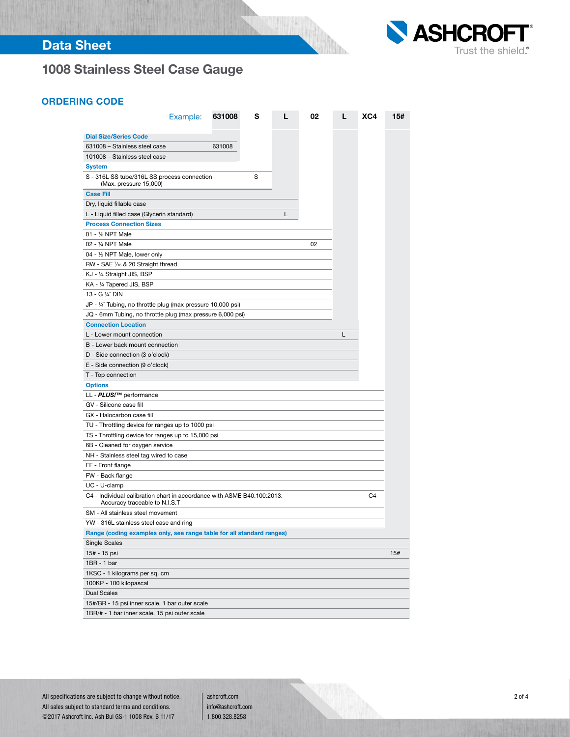# Data Sheet



# **1008 Stainless Steel Case Gauge**

### ORDERING CODE

|                                                                                                          | Example: | 631008 | s | L | 02 | L | XC4 | 15# |
|----------------------------------------------------------------------------------------------------------|----------|--------|---|---|----|---|-----|-----|
|                                                                                                          |          |        |   |   |    |   |     |     |
| <b>Dial Size/Series Code</b>                                                                             |          |        |   |   |    |   |     |     |
| 631008 - Stainless steel case                                                                            |          | 631008 |   |   |    |   |     |     |
| 101008 - Stainless steel case                                                                            |          |        |   |   |    |   |     |     |
| System                                                                                                   |          |        |   |   |    |   |     |     |
| S - 316L SS tube/316L SS process connection<br>(Max. pressure 15,000)                                    |          |        | S |   |    |   |     |     |
| <b>Case Fill</b>                                                                                         |          |        |   |   |    |   |     |     |
| Dry, liquid fillable case                                                                                |          |        |   |   |    |   |     |     |
| L - Liquid filled case (Glycerin standard)                                                               |          |        |   | L |    |   |     |     |
| <b>Process Connection Sizes</b>                                                                          |          |        |   |   |    |   |     |     |
| 01 - 1/8 NPT Male                                                                                        |          |        |   |   |    |   |     |     |
| 02 - 1/4 NPT Male                                                                                        |          |        |   |   | 02 |   |     |     |
| 04 - 1/2 NPT Male, lower only                                                                            |          |        |   |   |    |   |     |     |
| RW - SAE 7/16 & 20 Straight thread                                                                       |          |        |   |   |    |   |     |     |
| KJ - 1/4 Straight JIS, BSP                                                                               |          |        |   |   |    |   |     |     |
| KA - 1⁄4 Tapered JIS, BSP                                                                                |          |        |   |   |    |   |     |     |
| 13 - G 1/4" DIN                                                                                          |          |        |   |   |    |   |     |     |
| JP - 1/4" Tubing, no throttle plug (max pressure 10,000 psi)                                             |          |        |   |   |    |   |     |     |
| JQ - 6mm Tubing, no throttle plug (max pressure 6,000 psi)                                               |          |        |   |   |    |   |     |     |
| <b>Connection Location</b>                                                                               |          |        |   |   |    |   |     |     |
| L - Lower mount connection                                                                               |          |        |   |   |    | L |     |     |
| B - Lower back mount connection                                                                          |          |        |   |   |    |   |     |     |
| D - Side connection (3 o'clock)                                                                          |          |        |   |   |    |   |     |     |
| E - Side connection (9 o'clock)                                                                          |          |        |   |   |    |   |     |     |
| T - Top connection                                                                                       |          |        |   |   |    |   |     |     |
| <b>Options</b>                                                                                           |          |        |   |   |    |   |     |     |
| LL - <b>PLUS!™</b> performance                                                                           |          |        |   |   |    |   |     |     |
| GV - Silicone case fill                                                                                  |          |        |   |   |    |   |     |     |
| GX - Halocarbon case fill                                                                                |          |        |   |   |    |   |     |     |
| TU - Throttling device for ranges up to 1000 psi                                                         |          |        |   |   |    |   |     |     |
| TS - Throttling device for ranges up to 15,000 psi                                                       |          |        |   |   |    |   |     |     |
| 6B - Cleaned for oxygen service                                                                          |          |        |   |   |    |   |     |     |
| NH - Stainless steel tag wired to case                                                                   |          |        |   |   |    |   |     |     |
| FF - Front flange                                                                                        |          |        |   |   |    |   |     |     |
| FW - Back flange                                                                                         |          |        |   |   |    |   |     |     |
| UC - U-clamp                                                                                             |          |        |   |   |    |   |     |     |
| C4 - Individual calibration chart in accordance with ASME B40.100:2013.<br>Accuracy traceable to N.I.S.T |          |        |   |   |    |   | C4  |     |
| SM - All stainless steel movement                                                                        |          |        |   |   |    |   |     |     |
| YW - 316L stainless steel case and ring                                                                  |          |        |   |   |    |   |     |     |
| Range (coding examples only, see range table for all standard ranges)                                    |          |        |   |   |    |   |     |     |
| <b>Single Scales</b>                                                                                     |          |        |   |   |    |   |     |     |
| 15# - 15 psi                                                                                             |          |        |   |   |    |   |     | 15# |
| 1BR - 1 bar                                                                                              |          |        |   |   |    |   |     |     |
| 1KSC - 1 kilograms per sq. cm                                                                            |          |        |   |   |    |   |     |     |
| 100KP - 100 kilopascal                                                                                   |          |        |   |   |    |   |     |     |
| <b>Dual Scales</b>                                                                                       |          |        |   |   |    |   |     |     |
| 15#/BR - 15 psi inner scale, 1 bar outer scale                                                           |          |        |   |   |    |   |     |     |
| 1BR/# - 1 bar inner scale, 15 psi outer scale                                                            |          |        |   |   |    |   |     |     |

94 P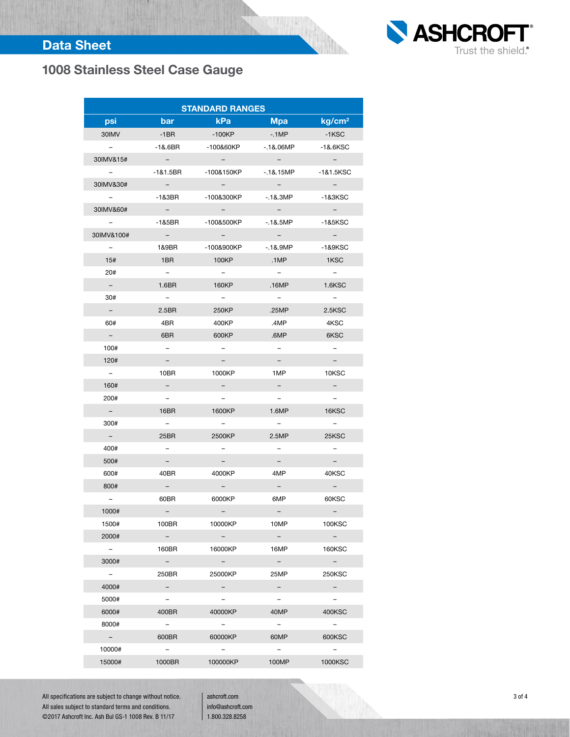# Data Sheet



# **1008 Stainless Steel Case Gauge**

| <b>STANDARD RANGES</b>   |                             |                          |                             |                                    |  |  |  |
|--------------------------|-----------------------------|--------------------------|-----------------------------|------------------------------------|--|--|--|
| psi                      | bar                         | <b>kPa</b>               | <b>Mpa</b>                  | kg/cm <sup>2</sup>                 |  |  |  |
| 30IMV                    | $-1BR$                      | $-100KP$                 | $-1MP$                      | $-1KSC$                            |  |  |  |
| $ \,$                    | $-18.6BR$                   | -100&60KP                | $-18.06MP$                  | $-18.6KSC$                         |  |  |  |
| 30IMV&15#                | $\equiv$                    |                          |                             |                                    |  |  |  |
| $\sim$                   | -1&1.5BR                    | -100&150KP               | $-18.15MP$                  | -1&1.5KSC                          |  |  |  |
| 30IMV&30#                | $\alpha \rightarrow \alpha$ | $\sim$                   | $\alpha \rightarrow \alpha$ | $\sim$                             |  |  |  |
| $\equiv$                 | $-1&3BR$                    | -100&300KP               | $-18.3MP$                   | -1&3KSC                            |  |  |  |
| 30IMV&60#                | $\sim$                      |                          |                             | $\sim$                             |  |  |  |
| $-$                      | $-185BR$                    | -100&500KP               | $-18.5MP$                   | -1&5KSC                            |  |  |  |
| 30IMV&100#               | $\sim$                      | $ \,$                    | $\alpha = 0.05$             | $\sim$                             |  |  |  |
| $\equiv$                 | 1&9BR                       | -100&900KP               | -.1&.9MP                    | -1&9KSC                            |  |  |  |
| 15#                      | 1BR                         | 100KP                    | .1MP                        | 1KSC                               |  |  |  |
| 20#                      | $-$                         | $\sim$                   | $\qquad \qquad -$           | $\sim$                             |  |  |  |
| $\overline{\phantom{a}}$ | 1.6 <sub>BR</sub>           | 160KP                    | .16MP                       | <b>1.6KSC</b>                      |  |  |  |
| 30#                      | $\overline{\phantom{a}}$    | $ \,$                    | $\sim$                      | $\sim$                             |  |  |  |
| $\overline{\phantom{0}}$ | 2.5 <sub>BR</sub>           | 250KP                    | .25MP                       | 2.5KSC                             |  |  |  |
| 60#                      | 4BR                         | 400KP                    | .4MP                        | 4KSC                               |  |  |  |
| $\equiv$                 | 6BR                         | 600KP                    | .6MP                        | 6KSC                               |  |  |  |
| 100#                     | $\overline{\phantom{0}}$    | Ξ.                       | $-$                         | $-$                                |  |  |  |
| 120#                     | -                           | -                        | $\overline{\phantom{0}}$    | $\overline{\phantom{0}}$           |  |  |  |
| $\sim$                   | 10BR                        | 1000KP                   | 1MP                         | 10KSC                              |  |  |  |
| 160#                     | н.                          | н.                       | Ξ.                          | $-$ .                              |  |  |  |
| 200#                     | $-$                         | $\overline{\phantom{0}}$ | $\overline{\phantom{0}}$    | $\overline{\phantom{a}}$           |  |  |  |
| $\sim$                   | 16BR                        | 1600KP                   | 1.6MP                       | 16KSC                              |  |  |  |
| 300#                     | $\overline{\phantom{0}}$    | $-$                      | $ \,$                       | $\overline{\phantom{a}}$           |  |  |  |
| $\equiv$                 | 25BR                        | 2500KP                   | 2.5MP                       | 25KSC                              |  |  |  |
| 400#                     | $-$                         | Ξ.                       | -                           | $\overline{\phantom{0}}$           |  |  |  |
| 500#                     | Ξ.                          | $\overline{\phantom{0}}$ | $\overline{\phantom{0}}$    | $\overline{\phantom{0}}$           |  |  |  |
| 600#                     | 40BR                        | 4000KP                   | 4MP                         | 40KSC                              |  |  |  |
| 800#                     | н.                          | $\overline{\phantom{a}}$ | $\sim$                      | $\sim$                             |  |  |  |
| $-$ .                    | 60BR                        | 6000KP                   | 6MP                         | 60KSC                              |  |  |  |
| 1000#                    |                             |                          |                             |                                    |  |  |  |
| 1500#                    | 100BR                       | 10000KP                  | 10MP                        | <b>100KSC</b>                      |  |  |  |
| 2000#                    | $\overline{\phantom{a}}$    | $\equiv$ .               | $-$ .                       | $ \,$                              |  |  |  |
| $\sim$                   | 160BR                       | 16000KP                  | 16MP                        | <b>160KSC</b>                      |  |  |  |
| 3000#                    | $ \,$                       | $ \,$                    | $\sim$                      | $\sim$                             |  |  |  |
| $ \,$                    | 250BR                       | 25000KP                  | 25MP                        | <b>250KSC</b>                      |  |  |  |
| 4000#                    | Ξ.                          | Ξ.                       | $-$ .                       | Ξ.                                 |  |  |  |
| 5000#                    | $-$                         | $-$                      | $-$                         | $\overline{\phantom{a}}$           |  |  |  |
| 6000#<br>8000#           | 400BR                       | 40000KP                  | 40MP                        | 400KSC                             |  |  |  |
|                          | $\sim$<br>600BR             | $\sim$<br>60000KP        | $ \,$<br>60MP               | $\overline{\phantom{0}}$<br>600KSC |  |  |  |
| $\sim$<br>10000#         |                             | Ξ.                       | $\overline{\phantom{a}}$    | -                                  |  |  |  |
| 15000#                   | $ \,$<br>1000BR             | 100000KP                 | 100MP                       | 1000KSC                            |  |  |  |
|                          |                             |                          |                             |                                    |  |  |  |

94

All specifications are subject to change without notice. All sales subject to standard terms and conditions. ©2017 Ashcroft Inc. Ash Bul GS-1 1008 Rev. B 11/17